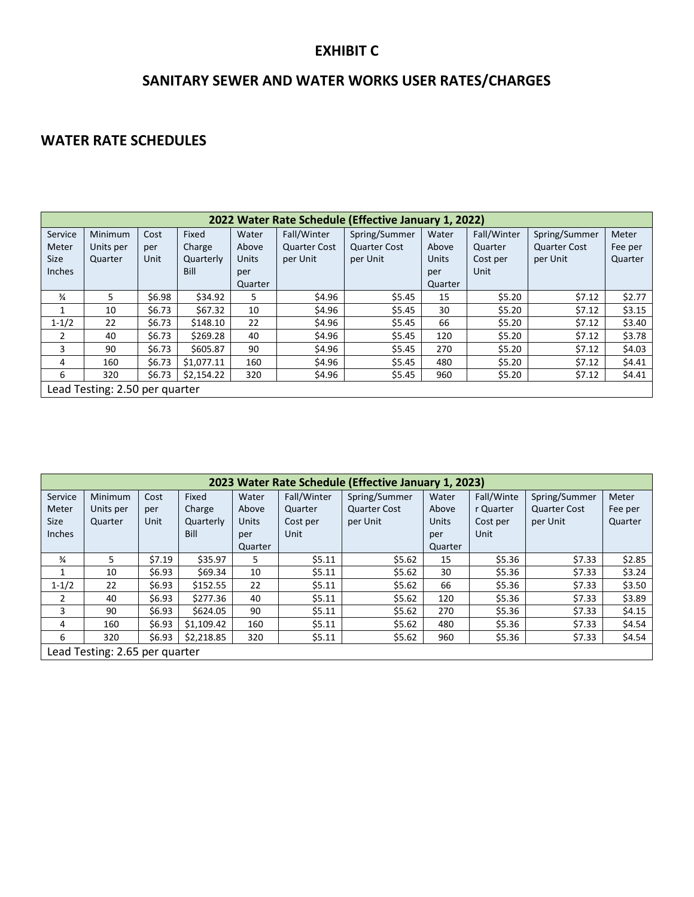#### **EXHIBIT C**

## **SANITARY SEWER AND WATER WORKS USER RATES/CHARGES**

#### **WATER RATE SCHEDULES**

| 2022 Water Rate Schedule (Effective January 1, 2022) |           |        |            |              |                     |                     |              |             |                     |         |
|------------------------------------------------------|-----------|--------|------------|--------------|---------------------|---------------------|--------------|-------------|---------------------|---------|
| Service                                              | Minimum   | Cost   | Fixed      | Water        | Fall/Winter         | Spring/Summer       | Water        | Fall/Winter | Spring/Summer       | Meter   |
| Meter                                                | Units per | per    | Charge     | Above        | <b>Quarter Cost</b> | <b>Quarter Cost</b> | Above        | Quarter     | <b>Quarter Cost</b> | Fee per |
| <b>Size</b>                                          | Quarter   | Unit   | Quarterly  | <b>Units</b> | per Unit            | per Unit            | <b>Units</b> | Cost per    | per Unit            | Quarter |
| Inches                                               |           |        | Bill       | per          |                     |                     | per          | Unit        |                     |         |
|                                                      |           |        |            | Quarter      |                     |                     | Quarter      |             |                     |         |
| $\frac{3}{4}$                                        | 5         | \$6.98 | \$34.92    | 5            | \$4.96              | \$5.45              | 15           | \$5.20      | \$7.12              | \$2.77  |
| 1                                                    | 10        | \$6.73 | \$67.32    | 10           | \$4.96              | \$5.45              | 30           | \$5.20      | \$7.12              | \$3.15  |
| $1 - 1/2$                                            | 22        | \$6.73 | \$148.10   | 22           | \$4.96              | \$5.45              | 66           | \$5.20      | \$7.12              | \$3.40  |
| $\overline{2}$                                       | 40        | \$6.73 | \$269.28   | 40           | \$4.96              | \$5.45              | 120          | \$5.20      | \$7.12              | \$3.78  |
| 3                                                    | 90        | \$6.73 | \$605.87   | 90           | \$4.96              | \$5.45              | 270          | \$5.20      | \$7.12              | \$4.03  |
| 4                                                    | 160       | \$6.73 | \$1,077.11 | 160          | \$4.96              | \$5.45              | 480          | \$5.20      | \$7.12              | \$4.41  |
| 6                                                    | 320       | \$6.73 | \$2,154.22 | 320          | \$4.96              | \$5.45              | 960          | \$5.20      | \$7.12              | \$4.41  |
| Lead Testing: 2.50 per quarter                       |           |        |            |              |                     |                     |              |             |                     |         |

| 2023 Water Rate Schedule (Effective January 1, 2023) |           |        |            |              |             |                     |              |            |                     |         |
|------------------------------------------------------|-----------|--------|------------|--------------|-------------|---------------------|--------------|------------|---------------------|---------|
| Service                                              | Minimum   | Cost   | Fixed      | Water        | Fall/Winter | Spring/Summer       | Water        | Fall/Winte | Spring/Summer       | Meter   |
| Meter                                                | Units per | per    | Charge     | Above        | Quarter     | <b>Quarter Cost</b> | Above        | r Quarter  | <b>Quarter Cost</b> | Fee per |
| Size                                                 | Quarter   | Unit   | Quarterly  | <b>Units</b> | Cost per    | per Unit            | <b>Units</b> | Cost per   | per Unit            | Quarter |
| Inches                                               |           |        | Bill       | per          | Unit        |                     | per          | Unit       |                     |         |
|                                                      |           |        |            | Quarter      |             |                     | Quarter      |            |                     |         |
| $\frac{3}{4}$                                        | 5.        | \$7.19 | \$35.97    | 5.           | \$5.11      | \$5.62              | 15           | \$5.36     | \$7.33              | \$2.85  |
|                                                      | 10        | \$6.93 | \$69.34    | 10           | \$5.11      | \$5.62              | 30           | \$5.36     | \$7.33              | \$3.24  |
| $1 - 1/2$                                            | 22        | \$6.93 | \$152.55   | 22           | \$5.11      | \$5.62              | 66           | \$5.36     | \$7.33              | \$3.50  |
| 2                                                    | 40        | \$6.93 | \$277.36   | 40           | \$5.11      | \$5.62              | 120          | \$5.36     | \$7.33              | \$3.89  |
| $\overline{3}$                                       | 90        | \$6.93 | \$624.05   | 90           | \$5.11      | \$5.62              | 270          | \$5.36     | \$7.33              | \$4.15  |
| 4                                                    | 160       | \$6.93 | \$1,109.42 | 160          | \$5.11      | \$5.62              | 480          | \$5.36     | \$7.33              | \$4.54  |
| 6                                                    | 320       | \$6.93 | \$2,218.85 | 320          | \$5.11      | \$5.62              | 960          | \$5.36     | \$7.33              | \$4.54  |
| Lead Testing: 2.65 per quarter                       |           |        |            |              |             |                     |              |            |                     |         |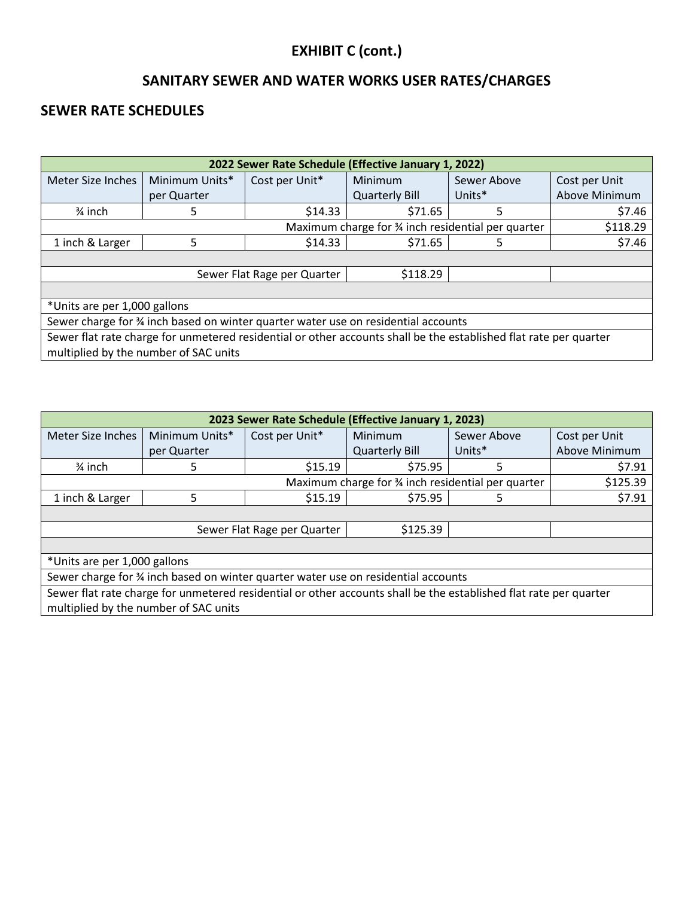# **EXHIBIT C (cont.)**

## **SANITARY SEWER AND WATER WORKS USER RATES/CHARGES**

## **SEWER RATE SCHEDULES**

| 2022 Sewer Rate Schedule (Effective January 1, 2022)                                                                                                       |                                                               |                |                       |             |                      |  |  |  |
|------------------------------------------------------------------------------------------------------------------------------------------------------------|---------------------------------------------------------------|----------------|-----------------------|-------------|----------------------|--|--|--|
| Meter Size Inches                                                                                                                                          | Minimum Units*                                                | Cost per Unit* | <b>Minimum</b>        | Sewer Above | Cost per Unit        |  |  |  |
|                                                                                                                                                            | per Quarter                                                   |                | <b>Quarterly Bill</b> | Units*      | <b>Above Minimum</b> |  |  |  |
| $\frac{3}{4}$ inch                                                                                                                                         | 5                                                             | \$14.33        | \$71.65               | 5           | \$7.46               |  |  |  |
|                                                                                                                                                            | Maximum charge for % inch residential per quarter<br>\$118.29 |                |                       |             |                      |  |  |  |
| 1 inch & Larger<br>5                                                                                                                                       |                                                               | \$14.33        | \$71.65               | 5           | \$7.46               |  |  |  |
|                                                                                                                                                            |                                                               |                |                       |             |                      |  |  |  |
| \$118.29<br>Sewer Flat Rage per Quarter                                                                                                                    |                                                               |                |                       |             |                      |  |  |  |
|                                                                                                                                                            |                                                               |                |                       |             |                      |  |  |  |
| *Units are per 1,000 gallons                                                                                                                               |                                                               |                |                       |             |                      |  |  |  |
| Sewer charge for % inch based on winter quarter water use on residential accounts                                                                          |                                                               |                |                       |             |                      |  |  |  |
| Sewer flat rate charge for unmetered residential or other accounts shall be the established flat rate per quarter<br>multiplied by the number of SAC units |                                                               |                |                       |             |                      |  |  |  |

| 2023 Sewer Rate Schedule (Effective January 1, 2023)                                                              |             |                |                       |             |               |  |  |  |
|-------------------------------------------------------------------------------------------------------------------|-------------|----------------|-----------------------|-------------|---------------|--|--|--|
| Minimum Units*<br>Meter Size Inches                                                                               |             | Cost per Unit* | <b>Minimum</b>        | Sewer Above | Cost per Unit |  |  |  |
|                                                                                                                   | per Quarter |                | <b>Quarterly Bill</b> | Units*      | Above Minimum |  |  |  |
| $\frac{3}{4}$ inch                                                                                                | 5           |                | \$75.95               | 5           | \$7.91        |  |  |  |
| Maximum charge for % inch residential per quarter<br>\$125.39                                                     |             |                |                       |             |               |  |  |  |
| 1 inch & Larger<br>5                                                                                              |             | \$15.19        | \$75.95               | 5           | \$7.91        |  |  |  |
|                                                                                                                   |             |                |                       |             |               |  |  |  |
| \$125.39<br>Sewer Flat Rage per Quarter                                                                           |             |                |                       |             |               |  |  |  |
|                                                                                                                   |             |                |                       |             |               |  |  |  |
| *Units are per 1,000 gallons                                                                                      |             |                |                       |             |               |  |  |  |
| Sewer charge for % inch based on winter quarter water use on residential accounts                                 |             |                |                       |             |               |  |  |  |
| Sewer flat rate charge for unmetered residential or other accounts shall be the established flat rate per quarter |             |                |                       |             |               |  |  |  |
| multiplied by the number of SAC units                                                                             |             |                |                       |             |               |  |  |  |